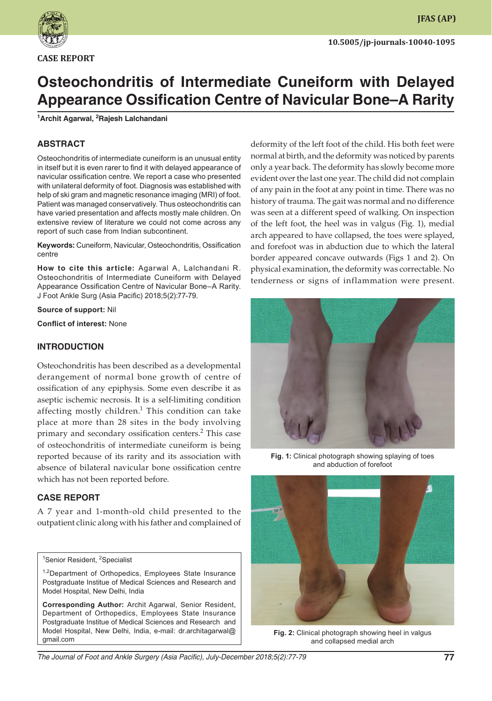

**CASE REPORT**

# **Osteochondritis of Intermediate Cuneiform with Delayed Appearance Ossification Centre of Navicular Bone–A Rarity**

### **1 Archit Agarwal, 2 Rajesh Lalchandani**

# **ABSTRACT**

Osteochondritis of intermediate cuneiform is an unusual entity in itself but it is even rarer to find it with delayed appearance of navicular ossification centre. We report a case who presented with unilateral deformity of foot. Diagnosis was established with help of ski gram and magnetic resonance imaging (MRI) of foot. Patient was managed conservatively. Thus osteochondritis can have varied presentation and affects mostly male children. On extensive review of literature we could not come across any report of such case from Indian subcontinent.

**Keywords:** Cuneiform, Navicular, Osteochondritis, Ossification centre

**How to cite this article:** Agarwal A, Lalchandani R. Osteochondritis of Intermediate Cuneiform with Delayed Appearance Ossification Centre of Navicular Bone–A Rarity. J Foot Ankle Surg (Asia Pacific) 2018;5(2):77-79.

**Source of support:** Nil

**Conflict of interest:** None

## **INTRODUCTION**

Osteochondritis has been described as a developmental derangement of normal bone growth of centre of ossification of any epiphysis. Some even describe it as aseptic ischemic necrosis. It is a self-limiting condition affecting mostly children.<sup>1</sup> This condition can take place at more than 28 sites in the body involving primary and secondary ossification centers.<sup>2</sup> This case of osteochondritis of intermediate cuneiform is being reported because of its rarity and its association with absence of bilateral navicular bone ossification centre which has not been reported before.

## **CASE REPORT**

A 7 year and 1-month-old child presented to the outpatient clinic along with his father and complained of

<sup>1</sup>Senior Resident, <sup>2</sup>Specialist

**Corresponding Author:** Archit Agarwal, Senior Resident, Department of Orthopedics, Employees State Insurance Postgraduate Institue of Medical Sciences and Research and Model Hospital, New Delhi, India, e-mail: dr.architagarwal@ gmail.com

deformity of the left foot of the child. His both feet were normal at birth, and the deformity was noticed by parents only a year back. The deformity has slowly become more evident over the last one year. The child did not complain of any pain in the foot at any point in time. There was no history of trauma. The gait was normal and no difference was seen at a different speed of walking. On inspection of the left foot, the heel was in valgus (Fig. 1), medial arch appeared to have collapsed, the toes were splayed, and forefoot was in abduction due to which the lateral border appeared concave outwards (Figs 1 and 2). On physical examination, the deformity was correctable. No tenderness or signs of inflammation were present.



**Fig. 1:** Clinical photograph showing splaying of toes and abduction of forefoot



**Fig. 2:** Clinical photograph showing heel in valgus and collapsed medial arch

The Journal of Foot and Ankle Surgery (Asia Pacific), July-December 2018;5(2):77-79 **77**

<sup>&</sup>lt;sup>1,2</sup>Department of Orthopedics, Employees State Insurance Postgraduate Institue of Medical Sciences and Research and Model Hospital, New Delhi, India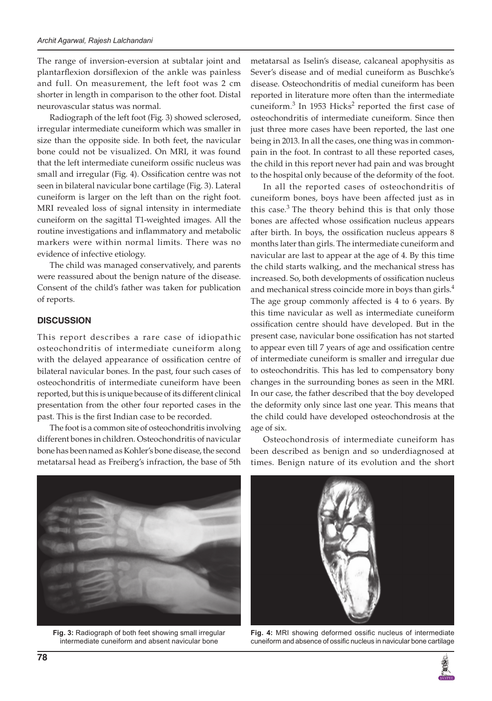The range of inversion-eversion at subtalar joint and plantarflexion dorsiflexion of the ankle was painless and full. On measurement, the left foot was 2 cm shorter in length in comparison to the other foot. Distal neurovascular status was normal.

Radiograph of the left foot (Fig. 3) showed sclerosed, irregular intermediate cuneiform which was smaller in size than the opposite side. In both feet, the navicular bone could not be visualized. On MRI, it was found that the left intermediate cuneiform ossific nucleus was small and irregular (Fig. 4). Ossification centre was not seen in bilateral navicular bone cartilage (Fig. 3). Lateral cuneiform is larger on the left than on the right foot. MRI revealed loss of signal intensity in intermediate cuneiform on the sagittal T1-weighted images. All the routine investigations and inflammatory and metabolic markers were within normal limits. There was no evidence of infective etiology.

The child was managed conservatively, and parents were reassured about the benign nature of the disease. Consent of the child's father was taken for publication of reports.

### **DISCUSSION**

This report describes a rare case of idiopathic osteochondritis of intermediate cuneiform along with the delayed appearance of ossification centre of bilateral navicular bones. In the past, four such cases of osteochondritis of intermediate cuneiform have been reported, but this is unique because of its different clinical presentation from the other four reported cases in the past. This is the first Indian case to be recorded.

The foot is a common site of osteochondritis involving different bones in children. Osteochondritis of navicular bone has been named as Kohler's bone disease, the second metatarsal head as Freiberg's infraction, the base of 5th

metatarsal as Iselin's disease, calcaneal apophysitis as Sever's disease and of medial cuneiform as Buschke's disease. Osteochondritis of medial cuneiform has been reported in literature more often than the intermediate cuneiform.<sup>3</sup> In 1953 Hicks<sup>2</sup> reported the first case of osteochondritis of intermediate cuneiform. Since then just three more cases have been reported, the last one being in 2013. In all the cases, one thing was in commonpain in the foot. In contrast to all these reported cases, the child in this report never had pain and was brought to the hospital only because of the deformity of the foot.

In all the reported cases of osteochondritis of cuneiform bones, boys have been affected just as in this case. $3$  The theory behind this is that only those bones are affected whose ossification nucleus appears after birth. In boys, the ossification nucleus appears 8 months later than girls. The intermediate cuneiform and navicular are last to appear at the age of 4. By this time the child starts walking, and the mechanical stress has increased. So, both developments of ossification nucleus and mechanical stress coincide more in boys than girls.<sup>4</sup> The age group commonly affected is 4 to 6 years. By this time navicular as well as intermediate cuneiform ossification centre should have developed. But in the present case, navicular bone ossification has not started to appear even till 7 years of age and ossification centre of intermediate cuneiform is smaller and irregular due to osteochondritis. This has led to compensatory bony changes in the surrounding bones as seen in the MRI. In our case, the father described that the boy developed the deformity only since last one year. This means that the child could have developed osteochondrosis at the age of six.

Osteochondrosis of intermediate cuneiform has been described as benign and so underdiagnosed at times. Benign nature of its evolution and the short



**Fig. 3:** Radiograph of both feet showing small irregular intermediate cuneiform and absent navicular bone



**Fig. 4:** MRI showing deformed ossific nucleus of intermediate cuneiform and absence of ossific nucleus in navicular bone cartilage